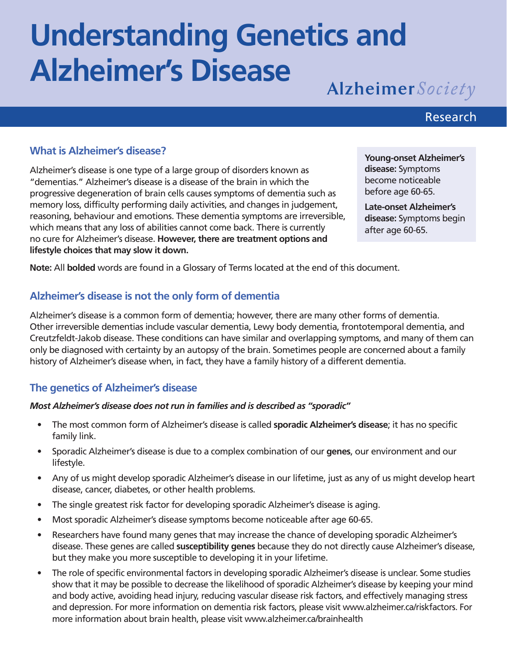# **Understanding Genetics and Alzheimer's Disease**

Alzheimer Society

# Research

# **What is Alzheimer's disease?**

Alzheimer's disease is one type of a large group of disorders known as "dementias." Alzheimer's disease is a disease of the brain in which the progressive degeneration of brain cells causes symptoms of dementia such as memory loss, difficulty performing daily activities, and changes in judgement, reasoning, behaviour and emotions. These dementia symptoms are irreversible, which means that any loss of abilities cannot come back. There is currently no cure for Alzheimer's disease. **However, there are treatment options and lifestyle choices that may slow it down.**

**Young-onset Alzheimer's disease:** Symptoms become noticeable before age 60-65.

**Late-onset Alzheimer's disease:** Symptoms begin after age 60-65.

**Note:** All **bolded** words are found in a Glossary of Terms located at the end of this document.

# **Alzheimer's disease is not the only form of dementia**

Alzheimer's disease is a common form of dementia; however, there are many other forms of dementia. Other irreversible dementias include vascular dementia, Lewy body dementia, frontotemporal dementia, and Creutzfeldt-Jakob disease. These conditions can have similar and overlapping symptoms, and many of them can only be diagnosed with certainty by an autopsy of the brain. Sometimes people are concerned about a family history of Alzheimer's disease when, in fact, they have a family history of a different dementia.

# **The genetics of Alzheimer's disease**

#### *Most Alzheimer's disease does not run in families and is described as "sporadic"*

- The most common form of Alzheimer's disease is called **sporadic Alzheimer's disease**; it has no specific family link.
- Sporadic Alzheimer's disease is due to a complex combination of our **genes**, our environment and our lifestyle.
- Any of us might develop sporadic Alzheimer's disease in our lifetime, just as any of us might develop heart disease, cancer, diabetes, or other health problems.
- The single greatest risk factor for developing sporadic Alzheimer's disease is aging.
- Most sporadic Alzheimer's disease symptoms become noticeable after age 60-65.
- Researchers have found many genes that may increase the chance of developing sporadic Alzheimer's disease. These genes are called **susceptibility genes** because they do not directly cause Alzheimer's disease, but they make you more susceptible to developing it in your lifetime.
- The role of specific environmental factors in developing sporadic Alzheimer's disease is unclear. Some studies show that it may be possible to decrease the likelihood of sporadic Alzheimer's disease by keeping your mind and body active, avoiding head injury, reducing vascular disease risk factors, and effectively managing stress and depression. For more information on dementia risk factors, please visit www.alzheimer.ca/riskfactors. For more information about brain health, please visit www.alzheimer.ca/brainhealth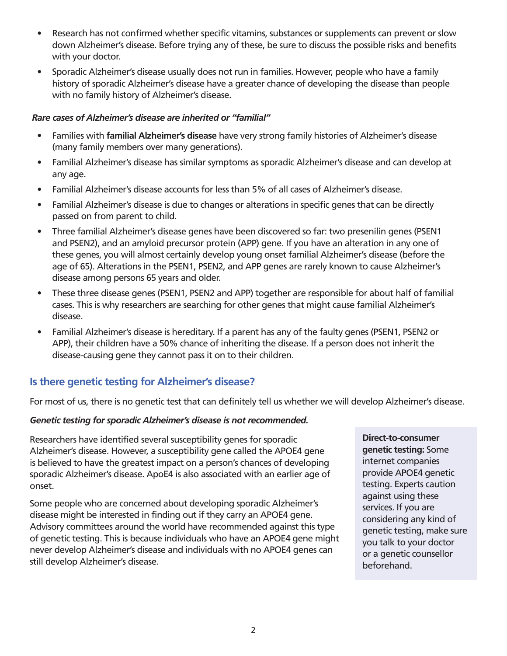- Research has not confirmed whether specific vitamins, substances or supplements can prevent or slow down Alzheimer's disease. Before trying any of these, be sure to discuss the possible risks and benefits with your doctor.
- Sporadic Alzheimer's disease usually does not run in families. However, people who have a family history of sporadic Alzheimer's disease have a greater chance of developing the disease than people with no family history of Alzheimer's disease.

#### *Rare cases of Alzheimer's disease are inherited or "familial"*

- Families with **familial Alzheimer's disease** have very strong family histories of Alzheimer's disease (many family members over many generations).
- Familial Alzheimer's disease has similar symptoms as sporadic Alzheimer's disease and can develop at any age.
- Familial Alzheimer's disease accounts for less than 5% of all cases of Alzheimer's disease.
- Familial Alzheimer's disease is due to changes or alterations in specific genes that can be directly passed on from parent to child.
- Three familial Alzheimer's disease genes have been discovered so far: two presenilin genes (PSEN1 and PSEN2), and an amyloid precursor protein (APP) gene. If you have an alteration in any one of these genes, you will almost certainly develop young onset familial Alzheimer's disease (before the age of 65). Alterations in the PSEN1, PSEN2, and APP genes are rarely known to cause Alzheimer's disease among persons 65 years and older.
- These three disease genes (PSEN1, PSEN2 and APP) together are responsible for about half of familial cases. This is why researchers are searching for other genes that might cause familial Alzheimer's disease.
- Familial Alzheimer's disease is hereditary. If a parent has any of the faulty genes (PSEN1, PSEN2 or APP), their children have a 50% chance of inheriting the disease. If a person does not inherit the disease-causing gene they cannot pass it on to their children.

# **Is there genetic testing for Alzheimer's disease?**

For most of us, there is no genetic test that can definitely tell us whether we will develop Alzheimer's disease.

#### *Genetic testing for sporadic Alzheimer's disease is not recommended.*

Researchers have identified several susceptibility genes for sporadic Alzheimer's disease. However, a susceptibility gene called the APOE4 gene is believed to have the greatest impact on a person's chances of developing sporadic Alzheimer's disease. ApoE4 is also associated with an earlier age of onset.

Some people who are concerned about developing sporadic Alzheimer's disease might be interested in finding out if they carry an APOE4 gene. Advisory committees around the world have recommended against this type of genetic testing. This is because individuals who have an APOE4 gene might never develop Alzheimer's disease and individuals with no APOE4 genes can still develop Alzheimer's disease.

**Direct-to-consumer genetic testing:** Some internet companies provide APOE4 genetic testing. Experts caution against using these services. If you are considering any kind of genetic testing, make sure you talk to your doctor or a genetic counsellor beforehand.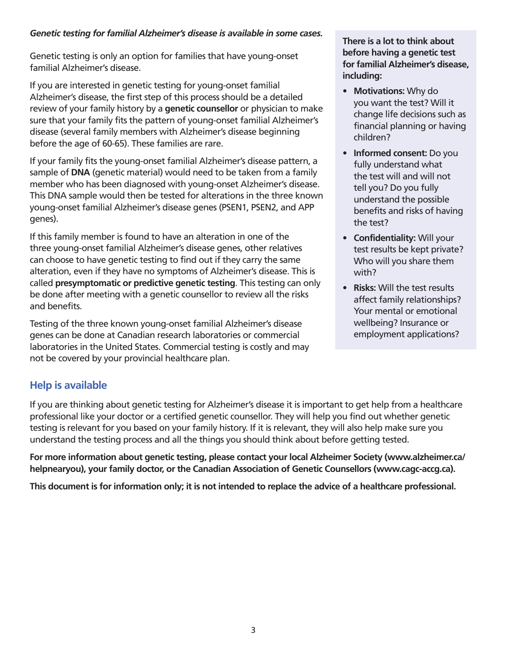#### *Genetic testing for familial Alzheimer's disease is available in some cases.*

Genetic testing is only an option for families that have young-onset familial Alzheimer's disease.

If you are interested in genetic testing for young-onset familial Alzheimer's disease, the first step of this process should be a detailed review of your family history by a **genetic counsellor** or physician to make sure that your family fits the pattern of young-onset familial Alzheimer's disease (several family members with Alzheimer's disease beginning before the age of 60-65). These families are rare.

If your family fits the young-onset familial Alzheimer's disease pattern, a sample of **DNA** (genetic material) would need to be taken from a family member who has been diagnosed with young-onset Alzheimer's disease. This DNA sample would then be tested for alterations in the three known young-onset familial Alzheimer's disease genes (PSEN1, PSEN2, and APP genes).

If this family member is found to have an alteration in one of the three young-onset familial Alzheimer's disease genes, other relatives can choose to have genetic testing to find out if they carry the same alteration, even if they have no symptoms of Alzheimer's disease. This is called **presymptomatic or predictive genetic testing**. This testing can only be done after meeting with a genetic counsellor to review all the risks and benefits.

Testing of the three known young-onset familial Alzheimer's disease genes can be done at Canadian research laboratories or commercial laboratories in the United States. Commercial testing is costly and may not be covered by your provincial healthcare plan.

#### **There is a lot to think about before having a genetic test for familial Alzheimer's disease, including:**

- **• Motivations:** Why do you want the test? Will it change life decisions such as financial planning or having children?
- **• Informed consent:** Do you fully understand what the test will and will not tell you? Do you fully understand the possible benefits and risks of having the test?
- **• Confidentiality:** Will your test results be kept private? Who will you share them with?
- **• Risks:** Will the test results affect family relationships? Your mental or emotional wellbeing? Insurance or employment applications?

# **Help is available**

If you are thinking about genetic testing for Alzheimer's disease it is important to get help from a healthcare professional like your doctor or a certified genetic counsellor. They will help you find out whether genetic testing is relevant for you based on your family history. If it is relevant, they will also help make sure you understand the testing process and all the things you should think about before getting tested.

**For more information about genetic testing, please contact your local Alzheimer Society (www.alzheimer.ca/ helpnearyou), your family doctor, or the Canadian Association of Genetic Counsellors (www.cagc-accg.ca).** 

**This document is for information only; it is not intended to replace the advice of a healthcare professional.**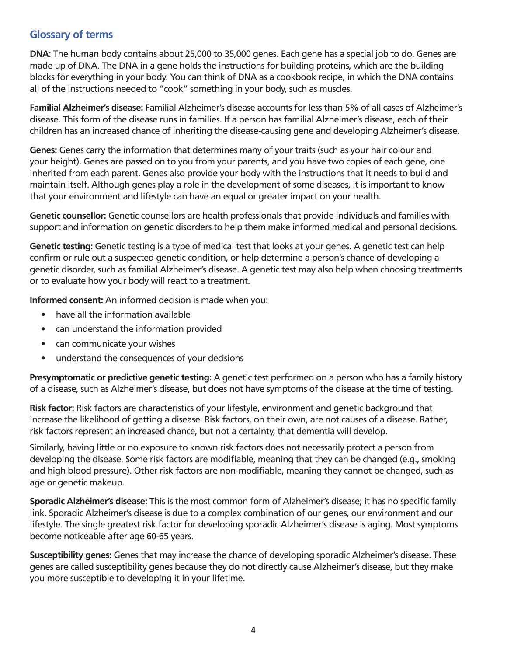# **Glossary of terms**

**DNA**: The human body contains about 25,000 to 35,000 genes. Each gene has a special job to do. Genes are made up of DNA. The DNA in a gene holds the instructions for building proteins, which are the building blocks for everything in your body. You can think of DNA as a cookbook recipe, in which the DNA contains all of the instructions needed to "cook" something in your body, such as muscles.

**Familial Alzheimer's disease:** Familial Alzheimer's disease accounts for less than 5% of all cases of Alzheimer's disease. This form of the disease runs in families. If a person has familial Alzheimer's disease, each of their children has an increased chance of inheriting the disease-causing gene and developing Alzheimer's disease.

**Genes:** Genes carry the information that determines many of your traits (such as your hair colour and your height). Genes are passed on to you from your parents, and you have two copies of each gene, one inherited from each parent. Genes also provide your body with the instructions that it needs to build and maintain itself. Although genes play a role in the development of some diseases, it is important to know that your environment and lifestyle can have an equal or greater impact on your health.

**Genetic counsellor:** Genetic counsellors are health professionals that provide individuals and families with support and information on genetic disorders to help them make informed medical and personal decisions.

**Genetic testing:** Genetic testing is a type of medical test that looks at your genes. A genetic test can help confirm or rule out a suspected genetic condition, or help determine a person's chance of developing a genetic disorder, such as familial Alzheimer's disease. A genetic test may also help when choosing treatments or to evaluate how your body will react to a treatment.

**Informed consent:** An informed decision is made when you:

- have all the information available
- can understand the information provided
- can communicate your wishes
- understand the consequences of your decisions

**Presymptomatic or predictive genetic testing:** A genetic test performed on a person who has a family history of a disease, such as Alzheimer's disease, but does not have symptoms of the disease at the time of testing.

**Risk factor:** Risk factors are characteristics of your lifestyle, environment and genetic background that increase the likelihood of getting a disease. Risk factors, on their own, are not causes of a disease. Rather, risk factors represent an increased chance, but not a certainty, that dementia will develop.

Similarly, having little or no exposure to known risk factors does not necessarily protect a person from developing the disease. Some risk factors are modifiable, meaning that they can be changed (e.g., smoking and high blood pressure). Other risk factors are non-modifiable, meaning they cannot be changed, such as age or genetic makeup.

**Sporadic Alzheimer's disease:** This is the most common form of Alzheimer's disease; it has no specific family link. Sporadic Alzheimer's disease is due to a complex combination of our genes, our environment and our lifestyle. The single greatest risk factor for developing sporadic Alzheimer's disease is aging. Most symptoms become noticeable after age 60-65 years.

**Susceptibility genes:** Genes that may increase the chance of developing sporadic Alzheimer's disease. These genes are called susceptibility genes because they do not directly cause Alzheimer's disease, but they make you more susceptible to developing it in your lifetime.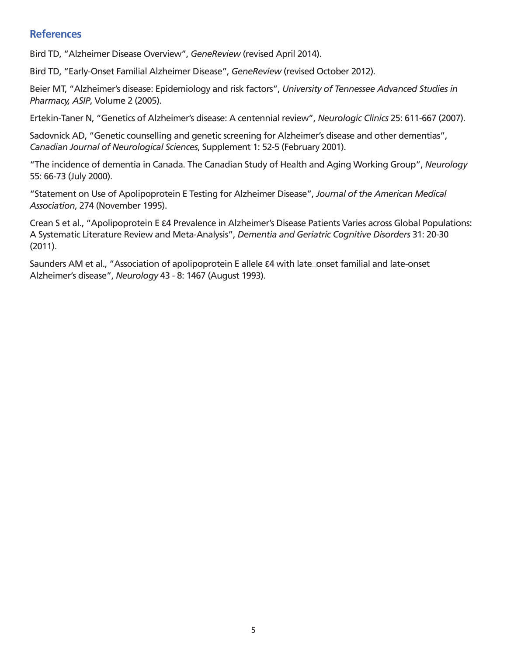# **References**

Bird TD, "Alzheimer Disease Overview", *GeneReview* (revised April 2014).

Bird TD, "Early-Onset Familial Alzheimer Disease", *GeneReview* (revised October 2012).

Beier MT, "Alzheimer's disease: Epidemiology and risk factors", *University of Tennessee Advanced Studies in Pharmacy, ASIP*, Volume 2 (2005).

Ertekin-Taner N, "Genetics of Alzheimer's disease: A centennial review", *Neurologic Clinics* 25: 611-667 (2007).

Sadovnick AD, "Genetic counselling and genetic screening for Alzheimer's disease and other dementias", *Canadian Journal of Neurological Sciences*, Supplement 1: 52-5 (February 2001).

"The incidence of dementia in Canada. The Canadian Study of Health and Aging Working Group", *Neurology* 55: 66-73 (July 2000).

"Statement on Use of Apolipoprotein E Testing for Alzheimer Disease", *Journal of the American Medical Association*, 274 (November 1995).

Crean S et al., "Apolipoprotein E ε4 Prevalence in Alzheimer's Disease Patients Varies across Global Populations: A Systematic Literature Review and Meta-Analysis", *Dementia and Geriatric Cognitive Disorders* 31: 20-30 (2011).

Saunders AM et al., "Association of apolipoprotein E allele ε4 with late onset familial and late-onset Alzheimer's disease", *Neurology* 43 - 8: 1467 (August 1993).